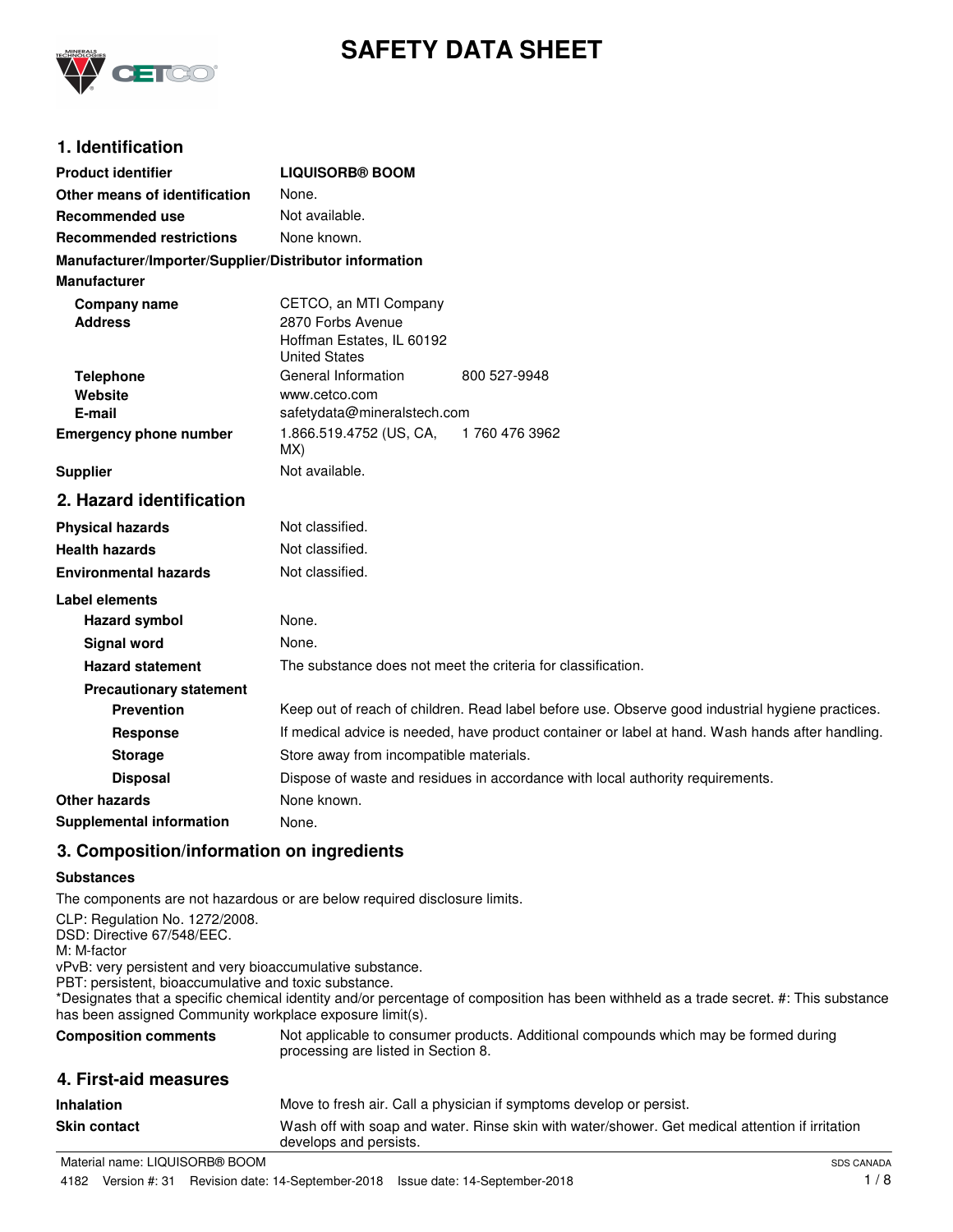

# **SAFETY DATA SHEET**

### **1. Identification**

| <b>Product identifier</b>                              | <b>LIQUISORB® BOOM</b>                                                                           |
|--------------------------------------------------------|--------------------------------------------------------------------------------------------------|
| Other means of identification                          | None.                                                                                            |
| <b>Recommended use</b>                                 | Not available.                                                                                   |
| <b>Recommended restrictions</b>                        | None known.                                                                                      |
| Manufacturer/Importer/Supplier/Distributor information |                                                                                                  |
| <b>Manufacturer</b>                                    |                                                                                                  |
| Company name<br><b>Address</b>                         | CETCO, an MTI Company<br>2870 Forbs Avenue<br>Hoffman Estates, IL 60192<br><b>United States</b>  |
| <b>Telephone</b>                                       | General Information<br>800 527-9948                                                              |
| Website                                                | www.cetco.com                                                                                    |
| E-mail                                                 | safetydata@mineralstech.com<br>1.866.519.4752 (US, CA,<br>1760 476 3962                          |
| <b>Emergency phone number</b>                          | MX)                                                                                              |
| <b>Supplier</b>                                        | Not available.                                                                                   |
| 2. Hazard identification                               |                                                                                                  |
| <b>Physical hazards</b>                                | Not classified.                                                                                  |
| <b>Health hazards</b>                                  | Not classified.                                                                                  |
| <b>Environmental hazards</b>                           | Not classified.                                                                                  |
| <b>Label elements</b>                                  |                                                                                                  |
| <b>Hazard symbol</b>                                   | None.                                                                                            |
| Signal word                                            | None.                                                                                            |
| <b>Hazard statement</b>                                | The substance does not meet the criteria for classification.                                     |
| <b>Precautionary statement</b>                         |                                                                                                  |
| <b>Prevention</b>                                      | Keep out of reach of children. Read label before use. Observe good industrial hygiene practices. |
| <b>Response</b>                                        | If medical advice is needed, have product container or label at hand. Wash hands after handling. |
| <b>Storage</b>                                         | Store away from incompatible materials.                                                          |
| <b>Disposal</b>                                        | Dispose of waste and residues in accordance with local authority requirements.                   |
| Other hazards                                          | None known.                                                                                      |
| <b>Supplemental information</b>                        | None.                                                                                            |

### **3. Composition/information on ingredients**

#### **Substances**

The components are not hazardous or are below required disclosure limits.

CLP: Regulation No. 1272/2008. DSD: Directive 67/548/EEC. M: M-factor vPvB: very persistent and very bioaccumulative substance. PBT: persistent, bioaccumulative and toxic substance. \*Designates that a specific chemical identity and/or percentage of composition has been withheld as a trade secret. #: This substance has been assigned Community workplace exposure limit(s). Not applicable to consumer products. Additional compounds which may be formed during processing are listed in Section 8. **Composition comments 4. First-aid measures Inhalation** Move to fresh air. Call a physician if symptoms develop or persist. Wash off with soap and water. Rinse skin with water/shower. Get medical attention if irritation develops and persists. **Skin contact**

Material name: LIQUISORB® BOOM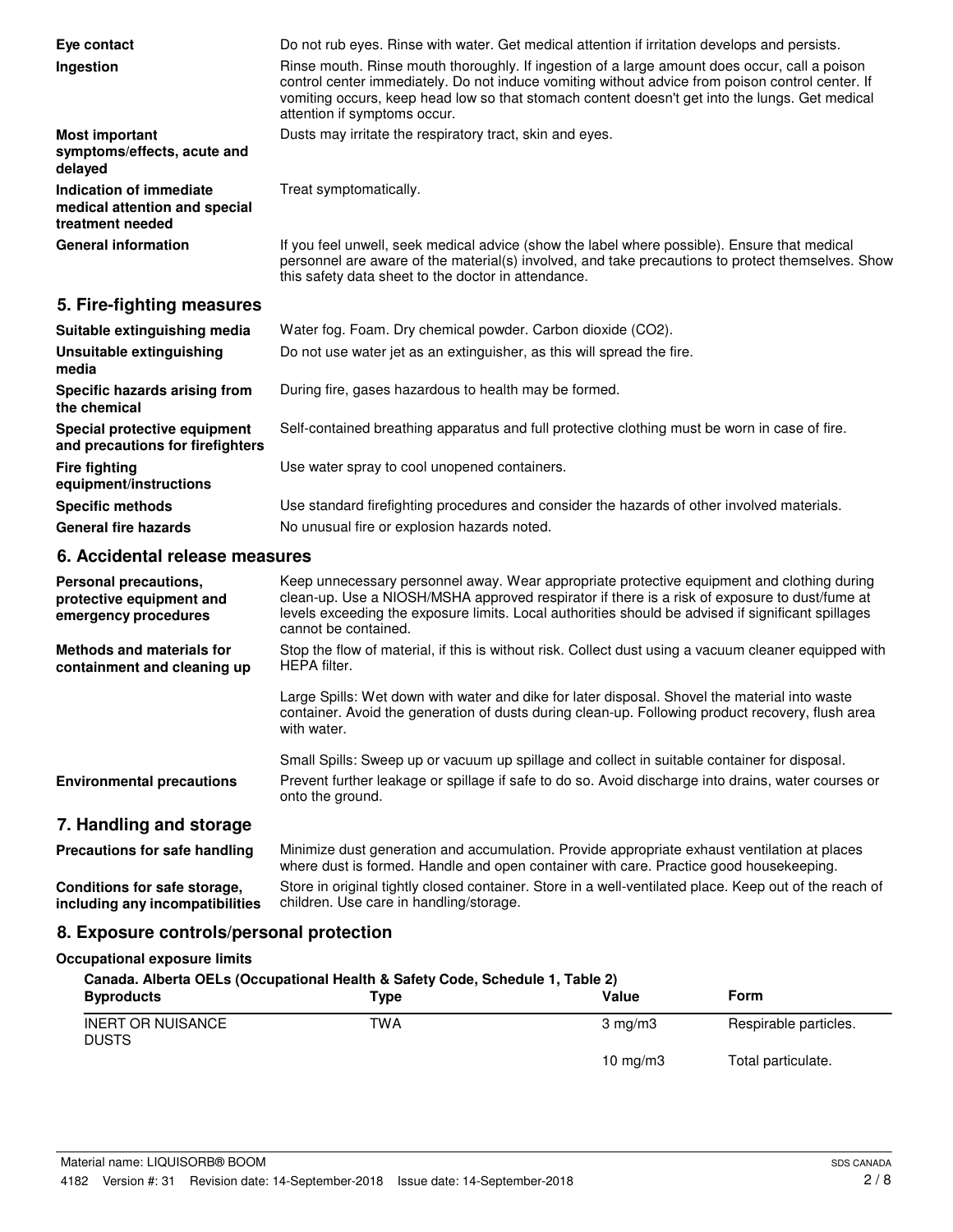| Eye contact<br>Ingestion                                                     | Do not rub eyes. Rinse with water. Get medical attention if irritation develops and persists.<br>Rinse mouth. Rinse mouth thoroughly. If ingestion of a large amount does occur, call a poison<br>control center immediately. Do not induce vomiting without advice from poison control center. If<br>vomiting occurs, keep head low so that stomach content doesn't get into the lungs. Get medical<br>attention if symptoms occur. |
|------------------------------------------------------------------------------|--------------------------------------------------------------------------------------------------------------------------------------------------------------------------------------------------------------------------------------------------------------------------------------------------------------------------------------------------------------------------------------------------------------------------------------|
| <b>Most important</b><br>symptoms/effects, acute and<br>delayed              | Dusts may irritate the respiratory tract, skin and eyes.                                                                                                                                                                                                                                                                                                                                                                             |
| Indication of immediate<br>medical attention and special<br>treatment needed | Treat symptomatically.                                                                                                                                                                                                                                                                                                                                                                                                               |
| <b>General information</b>                                                   | If you feel unwell, seek medical advice (show the label where possible). Ensure that medical<br>personnel are aware of the material(s) involved, and take precautions to protect themselves. Show<br>this safety data sheet to the doctor in attendance.                                                                                                                                                                             |

### **5. Fire-fighting measures**

| Suitable extinguishing media                                     | Water fog. Foam. Dry chemical powder. Carbon dioxide (CO2).                                   |
|------------------------------------------------------------------|-----------------------------------------------------------------------------------------------|
| Unsuitable extinguishing<br>media                                | Do not use water jet as an extinguisher, as this will spread the fire.                        |
| Specific hazards arising from<br>the chemical                    | During fire, gases hazardous to health may be formed.                                         |
| Special protective equipment<br>and precautions for firefighters | Self-contained breathing apparatus and full protective clothing must be worn in case of fire. |
| <b>Fire fighting</b><br>equipment/instructions                   | Use water spray to cool unopened containers.                                                  |
| <b>Specific methods</b>                                          | Use standard firefighting procedures and consider the hazards of other involved materials.    |
| <b>General fire hazards</b>                                      | No unusual fire or explosion hazards noted.                                                   |

### **6. Accidental release measures**

| Personal precautions.<br>protective equipment and<br>emergency procedures | Keep unnecessary personnel away. Wear appropriate protective equipment and clothing during<br>clean-up. Use a NIOSH/MSHA approved respirator if there is a risk of exposure to dust/fume at<br>levels exceeding the exposure limits. Local authorities should be advised if significant spillages<br>cannot be contained. |
|---------------------------------------------------------------------------|---------------------------------------------------------------------------------------------------------------------------------------------------------------------------------------------------------------------------------------------------------------------------------------------------------------------------|
| Methods and materials for<br>containment and cleaning up                  | Stop the flow of material, if this is without risk. Collect dust using a vacuum cleaner equipped with<br>HEPA filter.                                                                                                                                                                                                     |
|                                                                           | Large Spills: Wet down with water and dike for later disposal. Shovel the material into waste<br>container. Avoid the generation of dusts during clean-up. Following product recovery, flush area<br>with water.                                                                                                          |
|                                                                           | Small Spills: Sweep up or vacuum up spillage and collect in suitable container for disposal.                                                                                                                                                                                                                              |
| <b>Environmental precautions</b>                                          | Prevent further leakage or spillage if safe to do so. Avoid discharge into drains, water courses or<br>onto the ground.                                                                                                                                                                                                   |
| 7. Handling and storage                                                   |                                                                                                                                                                                                                                                                                                                           |
| Precautions for safe handling                                             | Minimize dust generation and accumulation. Provide appropriate exhaust ventilation at places<br>where dust is formed. Handle and open container with care. Practice good housekeeping.                                                                                                                                    |

Store in original tightly closed container. Store in a well-ventilated place. Keep out of the reach of children. Use care in handling/storage. **Conditions for safe storage, including any incompatibilities**

### **8. Exposure controls/personal protection**

### **Occupational exposure limits**

| Canada. Alberta OELs (Occupational Health & Safety Code, Schedule 1, Table 2) |      |                  |                       |
|-------------------------------------------------------------------------------|------|------------------|-----------------------|
| <b>Byproducts</b>                                                             | Type | Value            | Form                  |
| <b>INERT OR NUISANCE</b><br><b>DUSTS</b>                                      | TWA  | $3 \text{ ma/m}$ | Respirable particles. |
|                                                                               |      | 10 $mq/m3$       | Total particulate.    |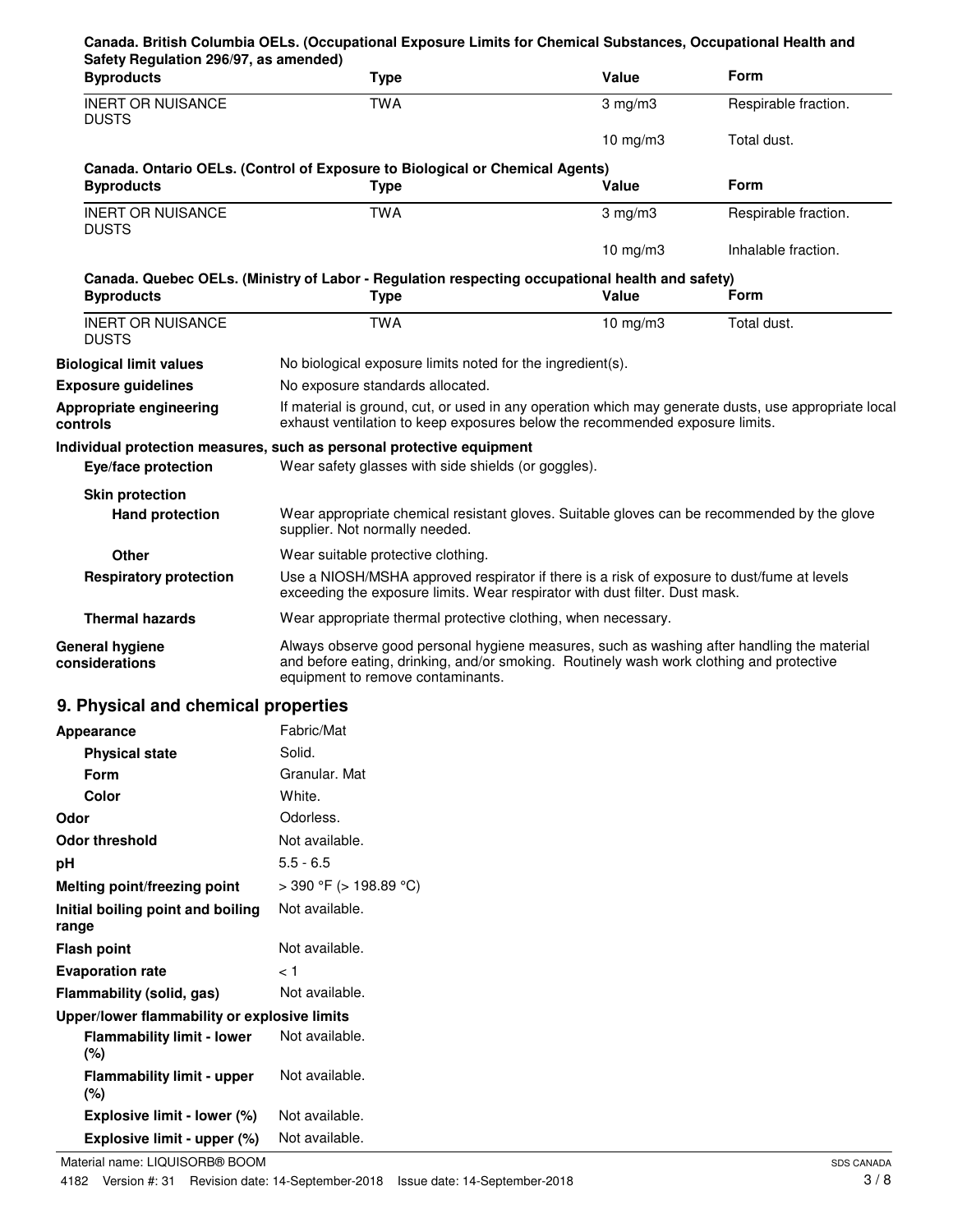| Safety Regulation 296/97, as amended)<br><b>Byproducts</b>                        | <b>Type</b>                                                                                                                                                                                                                 | Value                                                         | Form                 |  |
|-----------------------------------------------------------------------------------|-----------------------------------------------------------------------------------------------------------------------------------------------------------------------------------------------------------------------------|---------------------------------------------------------------|----------------------|--|
| <b>INERT OR NUISANCE</b><br><b>DUSTS</b>                                          | <b>TWA</b>                                                                                                                                                                                                                  | $3$ mg/m $3$                                                  | Respirable fraction. |  |
|                                                                                   |                                                                                                                                                                                                                             | 10 $mg/m3$                                                    | Total dust.          |  |
| <b>Byproducts</b>                                                                 | Canada. Ontario OELs. (Control of Exposure to Biological or Chemical Agents)<br><b>Type</b>                                                                                                                                 | Value                                                         | <b>Form</b>          |  |
| <b>INERT OR NUISANCE</b><br><b>DUSTS</b>                                          | <b>TWA</b>                                                                                                                                                                                                                  | $3 \text{ mg/m}$                                              | Respirable fraction. |  |
|                                                                                   |                                                                                                                                                                                                                             | 10 $mg/m3$                                                    | Inhalable fraction.  |  |
| <b>Byproducts</b>                                                                 | Canada. Quebec OELs. (Ministry of Labor - Regulation respecting occupational health and safety)<br><b>Type</b>                                                                                                              | Value                                                         | Form                 |  |
| <b>INERT OR NUISANCE</b><br><b>DUSTS</b>                                          | <b>TWA</b>                                                                                                                                                                                                                  | 10 $mg/m3$                                                    | Total dust.          |  |
| <b>Biological limit values</b>                                                    | No biological exposure limits noted for the ingredient(s).                                                                                                                                                                  |                                                               |                      |  |
| <b>Exposure guidelines</b>                                                        | No exposure standards allocated.                                                                                                                                                                                            |                                                               |                      |  |
| Appropriate engineering<br>controls                                               | If material is ground, cut, or used in any operation which may generate dusts, use appropriate local<br>exhaust ventilation to keep exposures below the recommended exposure limits.                                        |                                                               |                      |  |
|                                                                                   | Individual protection measures, such as personal protective equipment                                                                                                                                                       |                                                               |                      |  |
| Eye/face protection                                                               | Wear safety glasses with side shields (or goggles).                                                                                                                                                                         |                                                               |                      |  |
| <b>Skin protection</b>                                                            |                                                                                                                                                                                                                             |                                                               |                      |  |
| <b>Hand protection</b>                                                            | Wear appropriate chemical resistant gloves. Suitable gloves can be recommended by the glove<br>supplier. Not normally needed.                                                                                               |                                                               |                      |  |
| Other                                                                             | Wear suitable protective clothing.                                                                                                                                                                                          |                                                               |                      |  |
| <b>Respiratory protection</b>                                                     | Use a NIOSH/MSHA approved respirator if there is a risk of exposure to dust/fume at levels<br>exceeding the exposure limits. Wear respirator with dust filter. Dust mask.                                                   |                                                               |                      |  |
| <b>Thermal hazards</b>                                                            |                                                                                                                                                                                                                             | Wear appropriate thermal protective clothing, when necessary. |                      |  |
| <b>General hygiene</b><br>considerations                                          | Always observe good personal hygiene measures, such as washing after handling the material<br>and before eating, drinking, and/or smoking. Routinely wash work clothing and protective<br>equipment to remove contaminants. |                                                               |                      |  |
| 9. Physical and chemical properties                                               |                                                                                                                                                                                                                             |                                                               |                      |  |
| Appearance                                                                        | Fabric/Mat                                                                                                                                                                                                                  |                                                               |                      |  |
| <b>Physical state</b>                                                             | Solid.                                                                                                                                                                                                                      |                                                               |                      |  |
| Form                                                                              | Granular. Mat                                                                                                                                                                                                               |                                                               |                      |  |
| <b>Color</b>                                                                      | White.                                                                                                                                                                                                                      |                                                               |                      |  |
| Odor                                                                              | Odorless.                                                                                                                                                                                                                   |                                                               |                      |  |
| <b>Odor threshold</b>                                                             | Not available.                                                                                                                                                                                                              |                                                               |                      |  |
| pH                                                                                | $5.5 - 6.5$                                                                                                                                                                                                                 |                                                               |                      |  |
| Melting point/freezing point                                                      | $>$ 390 °F ( $>$ 198.89 °C)                                                                                                                                                                                                 |                                                               |                      |  |
| Initial boiling point and boiling<br>range                                        | Not available.                                                                                                                                                                                                              |                                                               |                      |  |
| <b>Flash point</b>                                                                | Not available.                                                                                                                                                                                                              |                                                               |                      |  |
| <b>Evaporation rate</b>                                                           | ا >                                                                                                                                                                                                                         |                                                               |                      |  |
| Flammability (solid, gas)                                                         | Not available.                                                                                                                                                                                                              |                                                               |                      |  |
| Upper/lower flammability or explosive limits<br><b>Flammability limit - lower</b> | Not available.                                                                                                                                                                                                              |                                                               |                      |  |
| (%)<br><b>Flammability limit - upper</b><br>$(\%)$                                | Not available.                                                                                                                                                                                                              |                                                               |                      |  |
| Explosive limit - lower (%)                                                       | Not available.                                                                                                                                                                                                              |                                                               |                      |  |
| Explosive limit - upper (%)                                                       | Not available.                                                                                                                                                                                                              |                                                               |                      |  |
|                                                                                   |                                                                                                                                                                                                                             |                                                               |                      |  |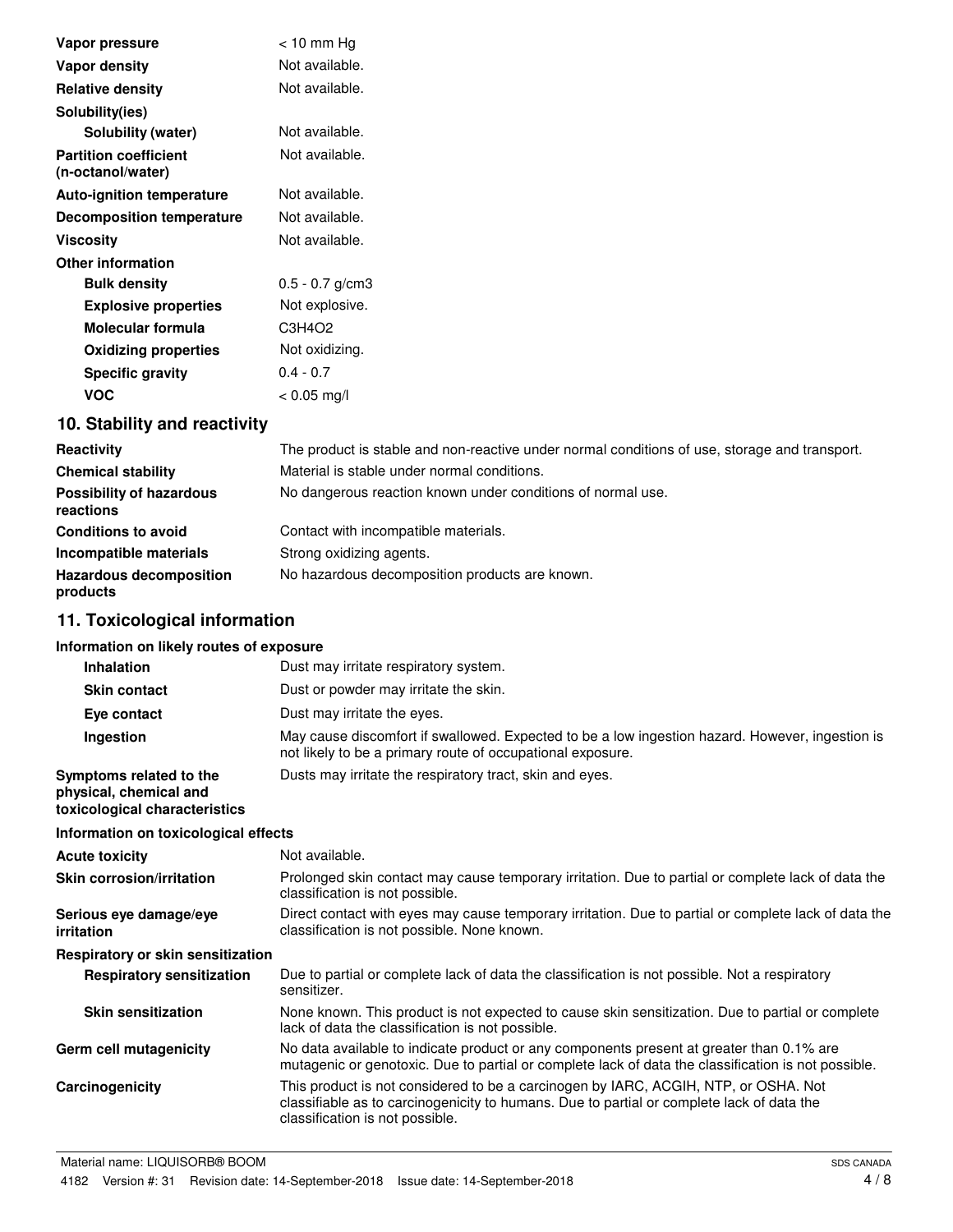| Vapor pressure                                    | $<$ 10 mm Hg      |
|---------------------------------------------------|-------------------|
| Vapor density                                     | Not available.    |
| <b>Relative density</b>                           | Not available.    |
| Solubility(ies)                                   |                   |
| Solubility (water)                                | Not available.    |
| <b>Partition coefficient</b><br>(n-octanol/water) | Not available.    |
| <b>Auto-ignition temperature</b>                  | Not available.    |
| <b>Decomposition temperature</b>                  | Not available.    |
| <b>Viscosity</b>                                  | Not available.    |
| <b>Other information</b>                          |                   |
| <b>Bulk density</b>                               | $0.5 - 0.7$ g/cm3 |
| <b>Explosive properties</b>                       | Not explosive.    |
| Molecular formula                                 | C3H4O2            |
| <b>Oxidizing properties</b>                       | Not oxidizing.    |
| <b>Specific gravity</b>                           | $0.4 - 0.7$       |
| <b>VOC</b>                                        | $< 0.05$ mg/l     |

## **10. Stability and reactivity**

| Reactivity                                   | The product is stable and non-reactive under normal conditions of use, storage and transport. |
|----------------------------------------------|-----------------------------------------------------------------------------------------------|
| <b>Chemical stability</b>                    | Material is stable under normal conditions.                                                   |
| <b>Possibility of hazardous</b><br>reactions | No dangerous reaction known under conditions of normal use.                                   |
| <b>Conditions to avoid</b>                   | Contact with incompatible materials.                                                          |
| Incompatible materials                       | Strong oxidizing agents.                                                                      |
| <b>Hazardous decomposition</b><br>products   | No hazardous decomposition products are known.                                                |

## **11. Toxicological information**

### **Information on likely routes of exposure**

| <b>Inhalation</b>                                                                  | Dust may irritate respiratory system.                                                                                                                                                                               |
|------------------------------------------------------------------------------------|---------------------------------------------------------------------------------------------------------------------------------------------------------------------------------------------------------------------|
| <b>Skin contact</b>                                                                | Dust or powder may irritate the skin.                                                                                                                                                                               |
| Eye contact                                                                        | Dust may irritate the eyes.                                                                                                                                                                                         |
| Ingestion                                                                          | May cause discomfort if swallowed. Expected to be a low ingestion hazard. However, ingestion is<br>not likely to be a primary route of occupational exposure.                                                       |
| Symptoms related to the<br>physical, chemical and<br>toxicological characteristics | Dusts may irritate the respiratory tract, skin and eyes.                                                                                                                                                            |
| Information on toxicological effects                                               |                                                                                                                                                                                                                     |
| <b>Acute toxicity</b>                                                              | Not available.                                                                                                                                                                                                      |
| Skin corrosion/irritation                                                          | Prolonged skin contact may cause temporary irritation. Due to partial or complete lack of data the<br>classification is not possible.                                                                               |
| Serious eye damage/eye<br>irritation                                               | Direct contact with eyes may cause temporary irritation. Due to partial or complete lack of data the<br>classification is not possible. None known.                                                                 |
| Respiratory or skin sensitization                                                  |                                                                                                                                                                                                                     |
| <b>Respiratory sensitization</b>                                                   | Due to partial or complete lack of data the classification is not possible. Not a respiratory<br>sensitizer.                                                                                                        |
| <b>Skin sensitization</b>                                                          | None known. This product is not expected to cause skin sensitization. Due to partial or complete<br>lack of data the classification is not possible.                                                                |
| Germ cell mutagenicity                                                             | No data available to indicate product or any components present at greater than 0.1% are<br>mutagenic or genotoxic. Due to partial or complete lack of data the classification is not possible.                     |
| Carcinogenicity                                                                    | This product is not considered to be a carcinogen by IARC, ACGIH, NTP, or OSHA. Not<br>classifiable as to carcinogenicity to humans. Due to partial or complete lack of data the<br>classification is not possible. |
|                                                                                    |                                                                                                                                                                                                                     |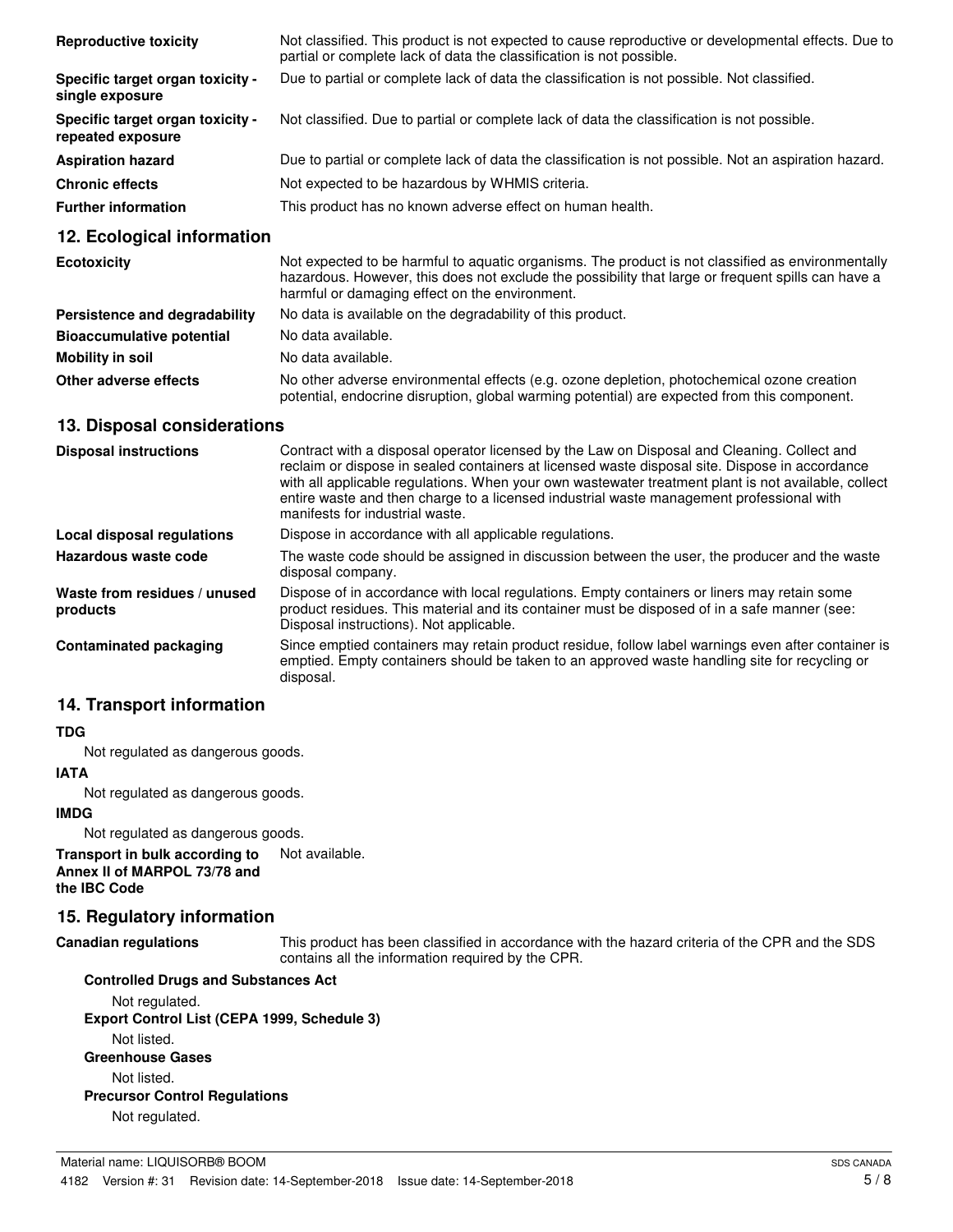| <b>Reproductive toxicity</b>                          | Not classified. This product is not expected to cause reproductive or developmental effects. Due to<br>partial or complete lack of data the classification is not possible. |
|-------------------------------------------------------|-----------------------------------------------------------------------------------------------------------------------------------------------------------------------------|
| Specific target organ toxicity -<br>single exposure   | Due to partial or complete lack of data the classification is not possible. Not classified.                                                                                 |
| Specific target organ toxicity -<br>repeated exposure | Not classified. Due to partial or complete lack of data the classification is not possible.                                                                                 |
| <b>Aspiration hazard</b>                              | Due to partial or complete lack of data the classification is not possible. Not an aspiration hazard.                                                                       |
| <b>Chronic effects</b>                                | Not expected to be hazardous by WHMIS criteria.                                                                                                                             |
| <b>Further information</b>                            | This product has no known adverse effect on human health.                                                                                                                   |

### **12. Ecological information**

| <b>Ecotoxicity</b>               | Not expected to be harmful to aquatic organisms. The product is not classified as environmentally<br>hazardous. However, this does not exclude the possibility that large or frequent spills can have a<br>harmful or damaging effect on the environment. |
|----------------------------------|-----------------------------------------------------------------------------------------------------------------------------------------------------------------------------------------------------------------------------------------------------------|
| Persistence and degradability    | No data is available on the degradability of this product.                                                                                                                                                                                                |
| <b>Bioaccumulative potential</b> | No data available.                                                                                                                                                                                                                                        |
| Mobility in soil                 | No data available.                                                                                                                                                                                                                                        |
| Other adverse effects            | No other adverse environmental effects (e.g. ozone depletion, photochemical ozone creation<br>potential, endocrine disruption, global warming potential) are expected from this component.                                                                |

### **13. Disposal considerations**

| <b>Disposal instructions</b>             | Contract with a disposal operator licensed by the Law on Disposal and Cleaning. Collect and<br>reclaim or dispose in sealed containers at licensed waste disposal site. Dispose in accordance<br>with all applicable regulations. When your own wastewater treatment plant is not available, collect<br>entire waste and then charge to a licensed industrial waste management professional with<br>manifests for industrial waste. |
|------------------------------------------|-------------------------------------------------------------------------------------------------------------------------------------------------------------------------------------------------------------------------------------------------------------------------------------------------------------------------------------------------------------------------------------------------------------------------------------|
| Local disposal regulations               | Dispose in accordance with all applicable regulations.                                                                                                                                                                                                                                                                                                                                                                              |
| Hazardous waste code                     | The waste code should be assigned in discussion between the user, the producer and the waste<br>disposal company.                                                                                                                                                                                                                                                                                                                   |
| Waste from residues / unused<br>products | Dispose of in accordance with local regulations. Empty containers or liners may retain some<br>product residues. This material and its container must be disposed of in a safe manner (see:<br>Disposal instructions). Not applicable.                                                                                                                                                                                              |
| Contaminated packaging                   | Since emptied containers may retain product residue, follow label warnings even after container is<br>emptied. Empty containers should be taken to an approved waste handling site for recycling or<br>disposal.                                                                                                                                                                                                                    |

### **14. Transport information**

#### **TDG**

Not regulated as dangerous goods.

### **IATA**

Not regulated as dangerous goods.

#### **IMDG**

Not regulated as dangerous goods.

#### **Transport in bulk according to** Not available. **Annex II of MARPOL 73/78 and the IBC Code**

#### **15. Regulatory information**

#### **Canadian regulations**

This product has been classified in accordance with the hazard criteria of the CPR and the SDS contains all the information required by the CPR.

### **Controlled Drugs and Substances Act** Not regulated. **Export Control List (CEPA 1999, Schedule 3)** Not listed. **Greenhouse Gases** Not listed. **Precursor Control Regulations** Not regulated.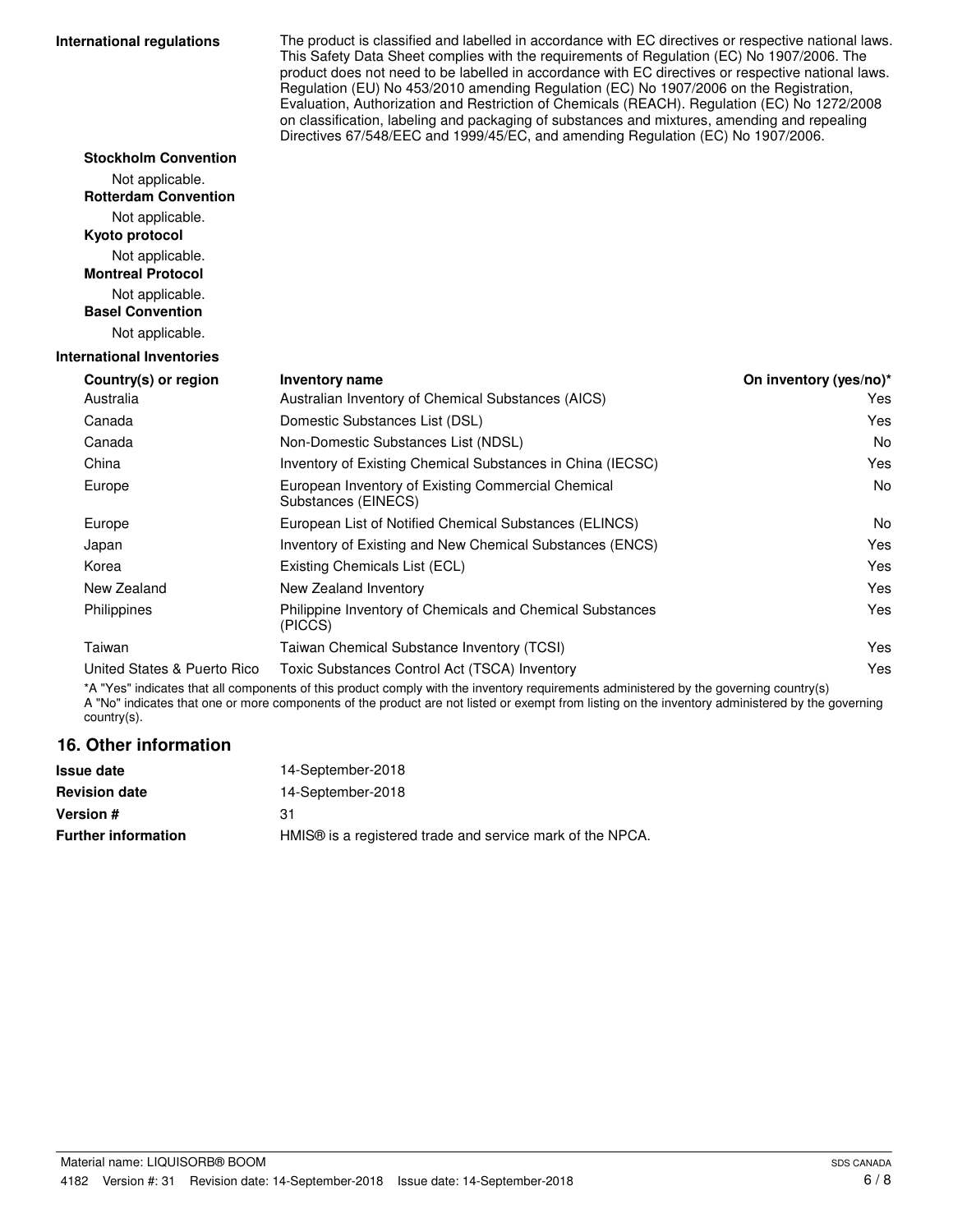#### **International regulations**

**Stockholm Convention** Not applicable.

The product is classified and labelled in accordance with EC directives or respective national laws. This Safety Data Sheet complies with the requirements of Regulation (EC) No 1907/2006. The product does not need to be labelled in accordance with EC directives or respective national laws. Regulation (EU) No 453/2010 amending Regulation (EC) No 1907/2006 on the Registration, Evaluation, Authorization and Restriction of Chemicals (REACH). Regulation (EC) No 1272/2008 on classification, labeling and packaging of substances and mixtures, amending and repealing Directives 67/548/EEC and 1999/45/EC, and amending Regulation (EC) No 1907/2006.

| <b>Rotterdam Convention</b>      |                                                                           |                        |
|----------------------------------|---------------------------------------------------------------------------|------------------------|
| Not applicable.                  |                                                                           |                        |
| Kyoto protocol                   |                                                                           |                        |
| Not applicable.                  |                                                                           |                        |
| <b>Montreal Protocol</b>         |                                                                           |                        |
| Not applicable.                  |                                                                           |                        |
| <b>Basel Convention</b>          |                                                                           |                        |
| Not applicable.                  |                                                                           |                        |
| <b>International Inventories</b> |                                                                           |                        |
| Country(s) or region             | Inventory name                                                            | On inventory (yes/no)* |
| Australia                        | Australian Inventory of Chemical Substances (AICS)                        | <b>Yes</b>             |
| Canada                           | Domestic Substances List (DSL)                                            | Yes                    |
| Canada                           | Non-Domestic Substances List (NDSL)                                       | <b>No</b>              |
| China                            | Inventory of Existing Chemical Substances in China (IECSC)                | Yes                    |
| Europe                           | European Inventory of Existing Commercial Chemical<br>Substances (EINECS) | No                     |
| Europe                           | European List of Notified Chemical Substances (ELINCS)                    | No                     |
| Japan                            | Inventory of Existing and New Chemical Substances (ENCS)                  | Yes                    |
| Korea                            | Existing Chemicals List (ECL)                                             | Yes                    |
| New Zealand                      | New Zealand Inventory                                                     | Yes                    |
| Philippines                      | Philippine Inventory of Chemicals and Chemical Substances<br>(PICCS)      | Yes                    |
| Taiwan                           | Taiwan Chemical Substance Inventory (TCSI)                                | Yes                    |
| United States & Puerto Rico      | Toxic Substances Control Act (TSCA) Inventory                             | Yes                    |

\*A "Yes" indicates that all components of this product comply with the inventory requirements administered by the governing country(s) A "No" indicates that one or more components of the product are not listed or exempt from listing on the inventory administered by the governing country(s).

### **16. Other information**

| 14-September-2018                                                     |  |
|-----------------------------------------------------------------------|--|
| 14-September-2018                                                     |  |
| 31                                                                    |  |
| HMIS <sup>®</sup> is a registered trade and service mark of the NPCA. |  |
|                                                                       |  |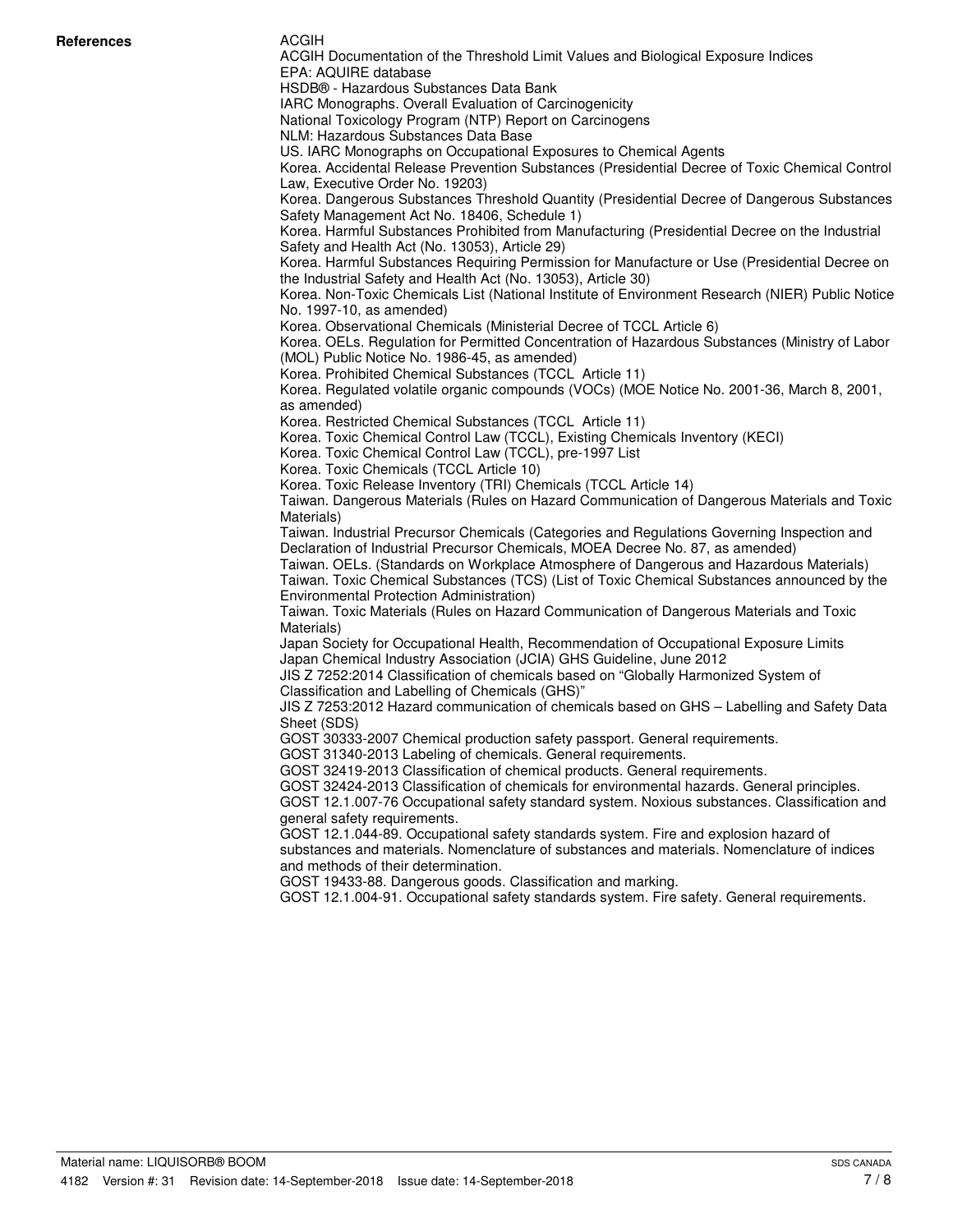#### ACGIH

ACGIH Documentation of the Threshold Limit Values and Biological Exposure Indices EPA: AQUIRE database HSDB® - Hazardous Substances Data Bank IARC Monographs. Overall Evaluation of Carcinogenicity National Toxicology Program (NTP) Report on Carcinogens NLM: Hazardous Substances Data Base US. IARC Monographs on Occupational Exposures to Chemical Agents Korea. Accidental Release Prevention Substances (Presidential Decree of Toxic Chemical Control Law, Executive Order No. 19203) Korea. Dangerous Substances Threshold Quantity (Presidential Decree of Dangerous Substances Safety Management Act No. 18406, Schedule 1) Korea. Harmful Substances Prohibited from Manufacturing (Presidential Decree on the Industrial Safety and Health Act (No. 13053), Article 29) Korea. Harmful Substances Requiring Permission for Manufacture or Use (Presidential Decree on the Industrial Safety and Health Act (No. 13053), Article 30) Korea. Non-Toxic Chemicals List (National Institute of Environment Research (NIER) Public Notice No. 1997-10, as amended) Korea. Observational Chemicals (Ministerial Decree of TCCL Article 6) Korea. OELs. Regulation for Permitted Concentration of Hazardous Substances (Ministry of Labor (MOL) Public Notice No. 1986-45, as amended) Korea. Prohibited Chemical Substances (TCCL Article 11) Korea. Regulated volatile organic compounds (VOCs) (MOE Notice No. 2001-36, March 8, 2001, as amended) Korea. Restricted Chemical Substances (TCCL Article 11) Korea. Toxic Chemical Control Law (TCCL), Existing Chemicals Inventory (KECI) Korea. Toxic Chemical Control Law (TCCL), pre-1997 List Korea. Toxic Chemicals (TCCL Article 10) Korea. Toxic Release Inventory (TRI) Chemicals (TCCL Article 14) Taiwan. Dangerous Materials (Rules on Hazard Communication of Dangerous Materials and Toxic Materials) Taiwan. Industrial Precursor Chemicals (Categories and Regulations Governing Inspection and Declaration of Industrial Precursor Chemicals, MOEA Decree No. 87, as amended) Taiwan. OELs. (Standards on Workplace Atmosphere of Dangerous and Hazardous Materials) Taiwan. Toxic Chemical Substances (TCS) (List of Toxic Chemical Substances announced by the Environmental Protection Administration) Taiwan. Toxic Materials (Rules on Hazard Communication of Dangerous Materials and Toxic Materials) Japan Society for Occupational Health, Recommendation of Occupational Exposure Limits Japan Chemical Industry Association (JCIA) GHS Guideline, June 2012 JIS Z 7252:2014 Classification of chemicals based on "Globally Harmonized System of Classification and Labelling of Chemicals (GHS)" JIS Z 7253:2012 Hazard communication of chemicals based on GHS – Labelling and Safety Data Sheet (SDS) GOST 30333-2007 Chemical production safety passport. General requirements. GOST 31340-2013 Labeling of chemicals. General requirements. GOST 32419-2013 Classification of chemical products. General requirements. GOST 32424-2013 Classification of chemicals for environmental hazards. General principles. GOST 12.1.007-76 Occupational safety standard system. Noxious substances. Classification and general safety requirements. GOST 12.1.044-89. Occupational safety standards system. Fire and explosion hazard of substances and materials. Nomenclature of substances and materials. Nomenclature of indices and methods of their determination. GOST 19433-88. Dangerous goods. Classification and marking. GOST 12.1.004-91. Occupational safety standards system. Fire safety. General requirements.